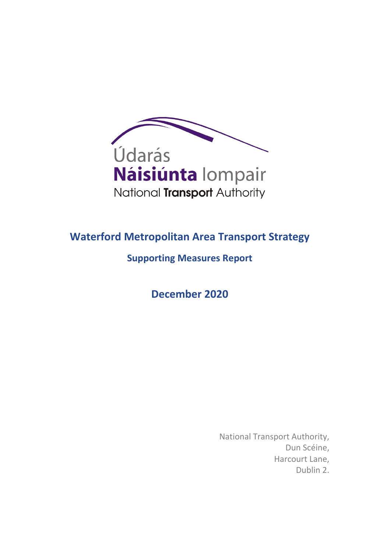

# **Waterford Metropolitan Area Transport Strategy**

**Supporting Measures Report**

**December 2020**

National Transport Authority, Dun Scéine, Harcourt Lane, Dublin 2.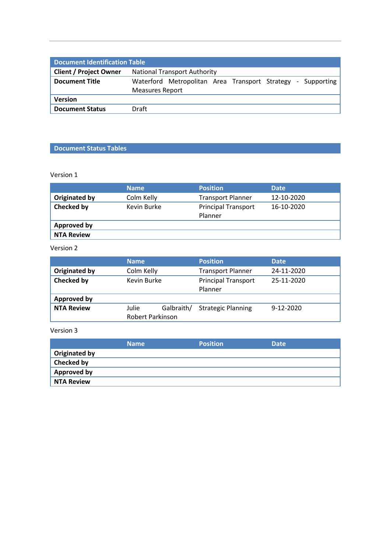| <b>Document Identification Table</b> |                                                                                       |  |  |  |  |
|--------------------------------------|---------------------------------------------------------------------------------------|--|--|--|--|
| <b>Client / Project Owner</b>        | <b>National Transport Authority</b>                                                   |  |  |  |  |
| <b>Document Title</b>                | Waterford Metropolitan Area Transport Strategy - Supporting<br><b>Measures Report</b> |  |  |  |  |
| <b>Version</b>                       |                                                                                       |  |  |  |  |
| <b>Document Status</b>               | Draft                                                                                 |  |  |  |  |

## **Document Status Tables**

Version 1

|                    | <b>Name</b> | <b>Position</b>                       | <b>Date</b> |
|--------------------|-------------|---------------------------------------|-------------|
| Originated by      | Colm Kelly  | <b>Transport Planner</b>              | 12-10-2020  |
| Checked by         | Kevin Burke | <b>Principal Transport</b><br>Planner | 16-10-2020  |
| <b>Approved by</b> |             |                                       |             |
| <b>NTA Review</b>  |             |                                       |             |

Version 2

|                                                              | <b>Name</b> |                           | <b>Position</b>                       | <b>Date</b> |
|--------------------------------------------------------------|-------------|---------------------------|---------------------------------------|-------------|
| <b>Originated by</b>                                         | Colm Kelly  |                           | <b>Transport Planner</b>              | 24-11-2020  |
| <b>Checked by</b>                                            | Kevin Burke |                           | <b>Principal Transport</b><br>Planner | 25-11-2020  |
| <b>Approved by</b>                                           |             |                           |                                       |             |
| <b>NTA Review</b><br>Galbraith/<br>Julie<br>Robert Parkinson |             | <b>Strategic Planning</b> | $9-12-2020$                           |             |

Version 3

|                      | <b>Name</b> | <b>Position</b> | <b>Date</b> |
|----------------------|-------------|-----------------|-------------|
| <b>Originated by</b> |             |                 |             |
| <b>Checked by</b>    |             |                 |             |
| <b>Approved by</b>   |             |                 |             |
| <b>NTA Review</b>    |             |                 |             |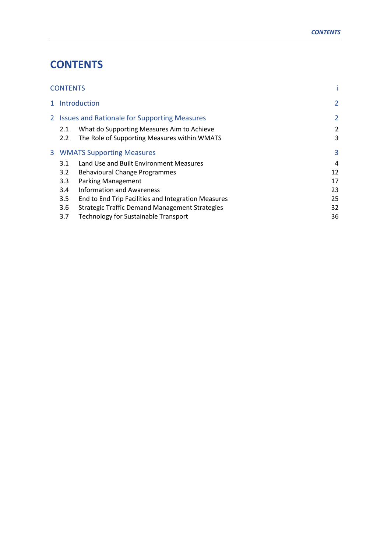# **CONTENTS**

| <b>CONTENTS</b>                                |                                                       |    |  |  |
|------------------------------------------------|-------------------------------------------------------|----|--|--|
| 1 Introduction                                 |                                                       |    |  |  |
| 2 Issues and Rationale for Supporting Measures | $\overline{2}$                                        |    |  |  |
| 2.1                                            | What do Supporting Measures Aim to Achieve            | 2  |  |  |
| 2.2                                            | The Role of Supporting Measures within WMATS          | 3  |  |  |
| <b>3 WMATS Supporting Measures</b>             |                                                       |    |  |  |
| 3.1                                            | Land Use and Built Environment Measures               | 4  |  |  |
| 3.2                                            | 12                                                    |    |  |  |
| 3.3                                            | <b>Parking Management</b>                             | 17 |  |  |
| 3.4                                            | <b>Information and Awareness</b>                      | 23 |  |  |
| $3.5^{\circ}$                                  | End to End Trip Facilities and Integration Measures   | 25 |  |  |
| 3.6                                            | <b>Strategic Traffic Demand Management Strategies</b> | 32 |  |  |
| 3.7                                            | <b>Technology for Sustainable Transport</b>           | 36 |  |  |
|                                                |                                                       |    |  |  |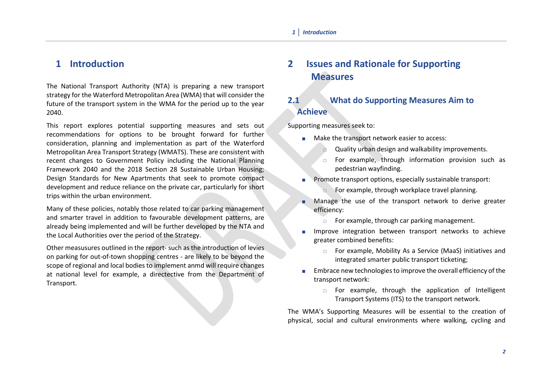# **1 Introduction**

The National Transport Authority (NTA) is preparing a new transport strategy for the Waterford Metropolitan Area (WMA) that will consider the future of the transport system in the WMA for the period up to the year 2040.

This report explores potential supporting measures and sets out recommendations for options to be brought forward for further consideration, planning and implementation as part of the Waterford Metropolitan Area Transport Strategy (WMATS). These are consistent with recent changes to Government Policy including the National Planning Framework 2040 and the 2018 Section 28 Sustainable Urban Housing; Design Standards for New Apartments that seek to promote compact development and reduce reliance on the private car, particularly for short trips within the urban environment.

Many of these policies, notably those related to car parking management and smarter travel in addition to favourable development patterns, are already being implemented and will be further developed by the NTA and the Local Authorities over the period of the Strategy.

Other measusures outlined in the report- such as the introduction of levies on parking for out-of-town shopping centres - are likely to be beyond the scope of regional and local bodies to implement anmd will require changes at national level for example, a directective from the Department of Transport.

# **2 Issues and Rationale for Supporting Measures**

## **2.1 What do Supporting Measures Aim to Achieve**

Supporting measures seek to:

- **Make the transport network easier to access:** 
	- Quality urban design and walkability improvements.
	- For example, through information provision such as pedestrian wayfinding.
- Promote transport options, especially sustainable transport:
	- For example, through workplace travel planning.
- Manage the use of the transport network to derive greater efficiency:
	- $\Box$  For example, through car parking management.
- Improve integration between transport networks to achieve greater combined benefits:
	- For example, Mobility As a Service (MaaS) initiatives and integrated smarter public transport ticketing;
- Embrace new technologies to improve the overall efficiency of the transport network:
	- $\Box$  For example, through the application of Intelligent Transport Systems (ITS) to the transport network.

The WMA's Supporting Measures will be essential to the creation of physical, social and cultural environments where walking, cycling and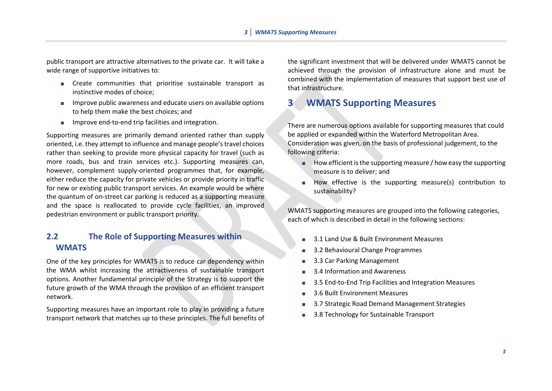public transport are attractive alternatives to the private car. It will take a wide range of supportive initiatives to:

- **EXECTE COMMUNISE** COMMUNITIES that prioritise sustainable transport as instinctive modes of choice;
- **IMPROVE PUBLIC ARE AVALUATE:** Improve public awareness and educate users on available options to help them make the best choices; and
- $\blacksquare$  Improve end-to-end trip facilities and integration.

Supporting measures are primarily demand oriented rather than supply oriented, i.e. they attempt to influence and manage people's travel choices rather than seeking to provide more physical capacity for travel (such as more roads, bus and train services etc.). Supporting measures can, however, complement supply-oriented programmes that, for example, either reduce the capacity for private vehicles or provide priority in traffic for new or existing public transport services. An example would be where the quantum of on-street car parking is reduced as a supporting measure and the space is reallocated to provide cycle facilities, an improved pedestrian environment or public transport priority.

## **2.2 The Role of Supporting Measures within WMATS**

One of the key principles for WMATS is to reduce car dependency within the WMA whilst increasing the attractiveness of sustainable transport options. Another fundamental principle of the Strategy is to support the future growth of the WMA through the provision of an efficient transport network.

Supporting measures have an important role to play in providing a future transport network that matches up to these principles. The full benefits of the significant investment that will be delivered under WMATS cannot be achieved through the provision of infrastructure alone and must be combined with the implementation of measures that support best use of that infrastructure.

# **3 WMATS Supporting Measures**

There are numerous options available for supporting measures that could be applied or expanded within the Waterford Metropolitan Area. Consideration was given, on the basis of professional judgement, to the following criteria:

- $\blacksquare$  How efficient is the supporting measure / how easy the supporting measure is to deliver; and
- How effective is the supporting measure(s) contribution to sustainability?

WMATS supporting measures are grouped into the following categories, each of which is described in detail in the following sections:

- 3.1 Land Use & Built Environment Measures
- 3.2 Behavioural Change Programmes
- 3.3 Car Parking Management
- 3.4 Information and Awareness
- 3.5 End-to-End Trip Facilities and Integration Measures
- 3.6 Built Environment Measures
- 3.7 Strategic Road Demand Management Strategies
- 3.8 Technology for Sustainable Transport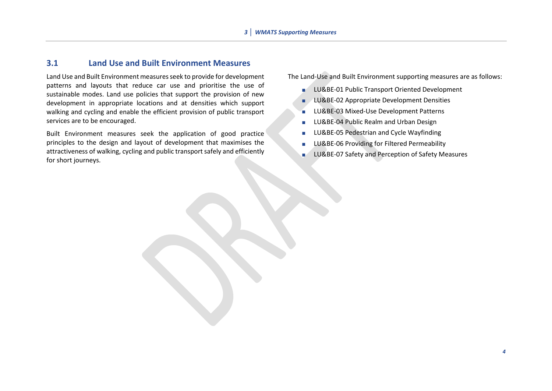#### **3.1 Land Use and Built Environment Measures**

Land Use and Built Environment measures seek to provide for development patterns and layouts that reduce car use and prioritise the use of sustainable modes. Land use policies that support the provision of new development in appropriate locations and at densities which support walking and cycling and enable the efficient provision of public transport services are to be encouraged.

Built Environment measures seek the application of good practice principles to the design and layout of development that maximises the attractiveness of walking, cycling and public transport safely and efficiently for short journeys.

The Land-Use and Built Environment supporting measures are as follows:

- **LU&BE-01 Public Transport Oriented Development**
- LU&BE-02 Appropriate Development Densities
- LU&BE-03 Mixed-Use Development Patterns
- **LU&BE-04 Public Realm and Urban Design**
- **LU&BE-05 Pedestrian and Cycle Wayfinding**
- **LU&BE-06 Providing for Filtered Permeability**
- **LU&BE-07 Safety and Perception of Safety Measures**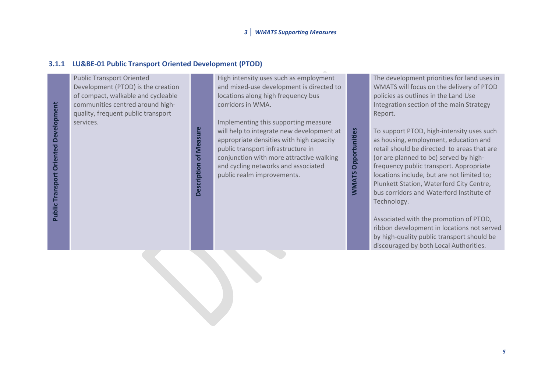#### **3.1.1 LU&BE-01 Public Transport Oriented Development (PTOD)**

Public Transport Oriented Development (PTOD) is the creation of compact, walkable and cycleable communities centred around highquality, frequent public transport services.

**Description of Measure Description of Measure** High intensity uses such as employment and mixed-use development is directed to locations along high frequency bus corridors in WMA.

Implementing this supporting measure will help to integrate new development at appropriate densities with high capacity public transport infrastructure in conjunction with more attractive walking and cycling networks and associated public realm improvements.

**WMATS Opportunities**

**WMATS Opportunities** 

The development priorities for land uses in WMATS will focus on the delivery of PTOD policies as outlines in the Land Use Integration section of the main Strategy Report.

To support PTOD, high-intensity uses such as housing, employment, education and retail should be directed to areas that are (or are planned to be) served by highfrequency public transport. Appropriate locations include, but are not limited to; Plunkett Station, Waterford City Centre, bus corridors and Waterford Institute of Technology.

Associated with the promotion of PTOD, ribbon development in locations not served by high-quality public transport should be discouraged by both Local Authorities.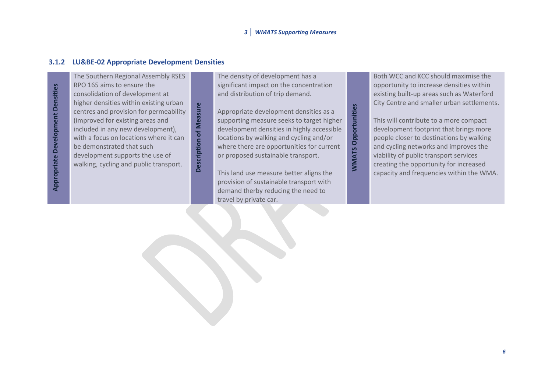#### **3.1.2 LU&BE-02 Appropriate Development Densities**

**Appropriate Development Densities Appropriate Development Densities** The Southern Regional Assembly RSES RPO 165 aims to ensure the consolidation of development at higher densities within existing urban Description of Measure centres and provision for permeability (improved for existing areas and included in any new development), with a focus on locations where it can be demonstrated that such development supports the use of walking, cycling and public transport.

**Description of Measure**

The density of development has a significant impact on the concentration and distribution of trip demand.

Appropriate development densities as a supporting measure seeks to target higher development densities in highly accessible locations by walking and cycling and/or where there are opportunities for current or proposed sustainable transport.

**WMATS Opportunities**

**WMATS Opportunities** 

This land use measure better aligns the provision of sustainable transport with demand therby reducing the need to travel by private car.

Both WCC and KCC should maximise the opportunity to increase densities within existing built-up areas such as Waterford City Centre and smaller urban settlements.

This will contribute to a more compact development footprint that brings more people closer to destinations by walking and cycling networks and improves the viability of public transport services creating the opportunity for increased capacity and frequencies within the WMA.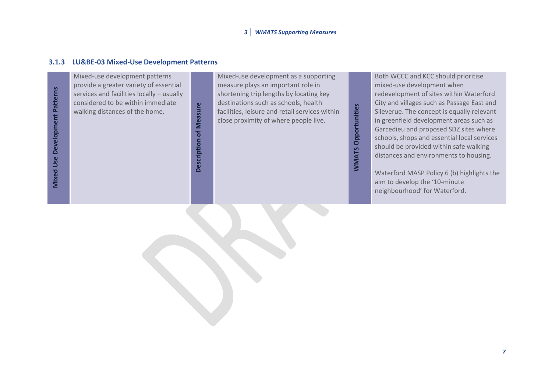#### **3.1.3 LU&BE-03 Mixed-Use Development Patterns**

**Mixed Use Development Patterns Mixed Use Development Patterns** Mixed-use development patterns provide a greater variety of essential services and facilities locally – usually considered to be within immediate walking distances of the home.

Mixed-use development as a supporting measure plays an important role in shortening trip lengths by locating key destinations such as schools, health Description of Measure **Description of Measure** facilities, leisure and retail services within close proximity of where people live.

**WMATS Opportunities WMATS Opportunities**

Both WCCC and KCC should prioritise mixed-use development when redevelopment of sites within Waterford City and villages such as Passage East and Slieverue. The concept is equally relevant in greenfield development areas such as Garcedieu and proposed SDZ sites where schools, shops and essential local services should be provided within safe walking distances and environments to housing.

Waterford MASP Policy 6 (b) highlights the aim to develop the '10-minute neighbourhood' for Waterford.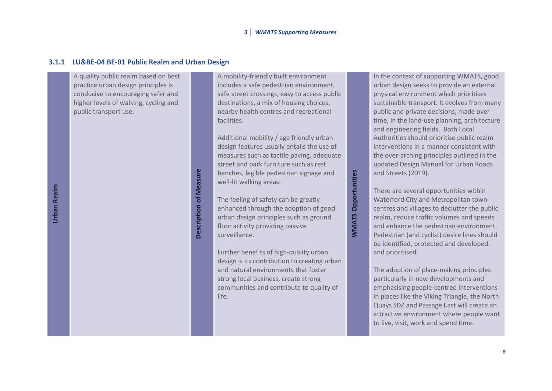#### **3.1.1 LU&BE-04 BE-01 Public Realm and Urban Design**

A quality public realm based on best practice urban design principles is conducive to encouraging safer and higher levels of walking, cycling and public transport use.

**Description of Measure** 

**Description of Measure**

A mobility-friendly built environment includes a safe pedestrian environment, safe street crossings, easy to access public destinations, a mix of housing choices, nearby health centres and recreational facilities.

Additional mobility / age friendly urban design features usually entails the use of measures such as tactile paving, adequate street and park furniture such as rest benches, legible pedestrian signage and well-lit walking areas.

The feeling of safety can be greatly enhanced through the adoption of good urban design principles such as ground floor activity providing passive surveillance.

**WMATS Opportunities**

**WMATS Opportunities** 

Further benefits of high-quality urban design is its contribution to creating urban and natural environments that foster strong local business, create strong communities and contribute to quality of life.

In the context of supporting WMATS, good urban design seeks to provide an external physical environment which prioritises sustainable transport. It evolves from many public and private decisions, made over time, in the land-use planning, architecture and engineering fields. Both Local Authorities should prioritise public realm interventions in a manner consistent with the over-arching principles outlined in the updated Design Manual for Urban Roads and Streets (2019).

There are several opportunities within Waterford City and Metropolitan town centres and villages to declutter the public realm, reduce traffic volumes and speeds and enhance the pedestrian environment. Pedestrian (and cyclist) desire lines should be identified, protected and developed. and prioritised.

The adoption of place-making principles particularly in new developments and emphasising people-centred interventions in places like the Viking Triangle, the North Quays SDZ and Passage East will create an attractive environment where people want to live, visit, work and spend time.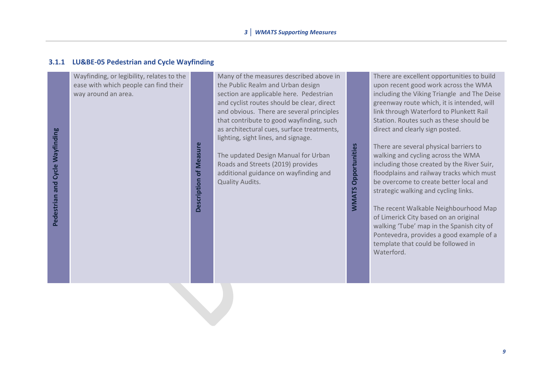#### **3.1.1 LU&BE-05 Pedestrian and Cycle Wayfinding**

Wayfinding, or legibility, relates to the ease with which people can find their way around an area.

> Description of Measure **Description of Measure**

Many of the measures described above in the Public Realm and Urban design section are applicable here. Pedestrian and cyclist routes should be clear, direct and obvious. There are several principles that contribute to good wayfinding, such as architectural cues, surface treatments, lighting, sight lines, and signage.

The updated Design Manual for Urban Roads and Streets (2019) provides additional guidance on wayfinding and Quality Audits.

There are excellent opportunities to build upon recent good work across the WMA including the Viking Triangle and The Deise greenway route which, it is intended, will link through Waterford to Plunkett Rail Station. Routes such as these should be direct and clearly sign posted.

There are several physical barriers to walking and cycling across the WMA including those created by the River Suir, floodplains and railway tracks which must be overcome to create better local and strategic walking and cycling links.

**WMATS Opportunities**

**WMATS Opportunities** 

The recent Walkable Neighbourhood Map of Limerick City based on an original walking 'Tube' map in the Spanish city of Pontevedra, provides a good example of a template that could be followed in Waterford.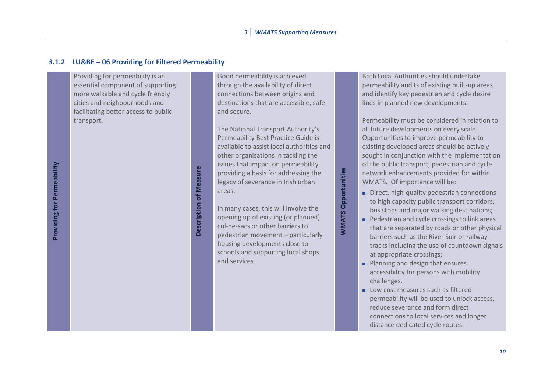#### **3.1.2 LU&BE – 06 Providing for Filtered Permeability**

Providing for permeability is an essential component of supporting more walkable and cycle friendly cities and neighbourhoods and facilitating better access to public transport.

Good permeability is achieved through the availability of direct connections between origins and destinations that are accessible, safe and secure.

The National Transport Authority's Permeability Best Practice Guide is available to assist local authorities and other organisations in tackling the issues that impact on permeability providing a basis for addressing the legacy of severance in Irish urban areas.

**WMATS Opportunities**

**WMATS Opportunities** 

In many cases, this will involve the opening up of existing (or planned) cul-de-sacs or other barriers to pedestrian movement – particularly housing developments close to schools and supporting local shops and services.

**Description of Measure**

Description of Measure

Both Local Authorities should undertake permeability audits of existing built-up areas and identify key pedestrian and cycle desire lines in planned new developments.

Permeability must be considered in relation to all future developments on every scale. Opportunities to improve permeability to existing developed areas should be actively sought in conjunction with the implementation of the public transport, pedestrian and cycle network enhancements provided for within WMATS. Of importance will be:

- Direct, high-quality pedestrian connections to high capacity public transport corridors, bus stops and major walking destinations;
- **Pedestrian and cycle crossings to link areas** that are separated by roads or other physical barriers such as the River Suir or railway tracks including the use of countdown signals at appropriate crossings;
- **Planning and design that ensures** accessibility for persons with mobility challenges.
- Low cost measures such as filtered permeability will be used to unlock access, reduce severance and form direct connections to local services and longer distance dedicated cycle routes.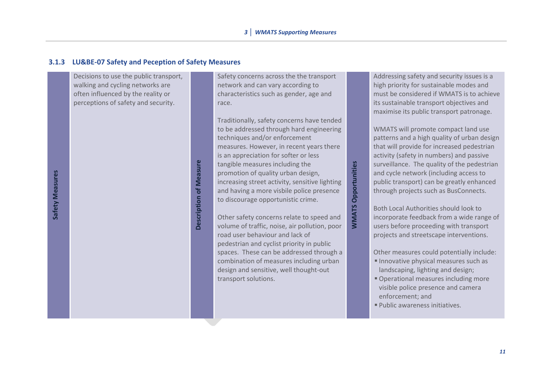#### **3.1.3 LU&BE-07 Safety and Peception of Safety Measures**

**Description of Measure**

Description of Measure

Decisions to use the public transport, walking and cycling networks are often influenced by the reality or perceptions of safety and security.

Safety concerns across the the transport network and can vary according to characteristics such as gender, age and race.

Traditionally, safety concerns have tended to be addressed through hard engineering techniques and/or enforcement measures. However, in recent years there is an appreciation for softer or less tangible measures including the promotion of quality urban design, increasing street activity, sensitive lighting and having a more visbile police presence to discourage opportunistic crime.

**WMATS Opportunities**

**WMATS Opportunities** 

Other safety concerns relate to speed and volume of traffic, noise, air pollution, poor road user behaviour and lack of pedestrian and cyclist priority in public spaces. These can be addressed through a combination of measures including urban design and sensitive, well thought-out transport solutions.

Addressing safety and security issues is a high priority for sustainable modes and must be considered if WMATS is to achieve its sustainable transport objectives and maximise its public transport patronage.

WMATS will promote compact land use patterns and a high quality of urban design that will provide for increased pedestrian activity (safety in numbers) and passive surveillance. The quality of the pedestrian and cycle network (including access to public transport) can be greatly enhanced through projects such as BusConnects.

Both Local Authorities should look to incorporate feedback from a wide range of users before proceeding with transport projects and streetscape interventions.

Other measures could potentially include:

- Innovative physical measures such as landscaping, lighting and design;
- **Operational measures including more** visible police presence and camera enforcement; and
- Public awareness initiatives.

Safety Measures **Safety Measures**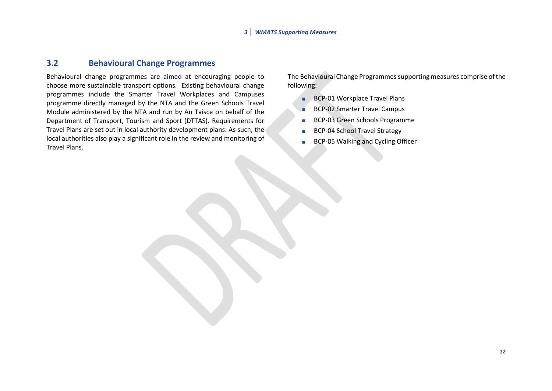#### **3.2 Behavioural Change Programmes**

Behavioural change programmes are aimed at encouraging people to choose more sustainable transport options. Existing behavioural change programmes include the Smarter Travel Workplaces and Campuses programme directly managed by the NTA and the Green Schools Travel Module administered by the NTA and run by An Taisce on behalf of the Department of Transport, Tourism and Sport (DTTAS). Requirements for Travel Plans are set out in local authority development plans. As such, the local authorities also play a significant role in the review and monitoring of Travel Plans.

The Behavioural Change Programmes supporting measures comprise of the following:

- **BCP-01 Workplace Travel Plans**
- BCP-02 Smarter Travel Campus
- **BCP-03 Green Schools Programme**
- **BCP-04 School Travel Strategy**
- **BCP-05 Walking and Cycling Officer**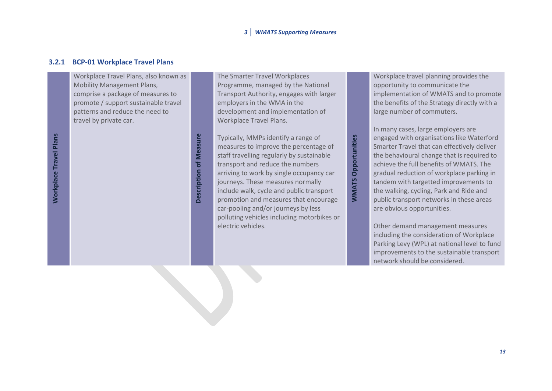#### **3.2.1 BCP-01 Workplace Travel Plans**

Workplace Travel Plans, also known as Mobility Management Plans, comprise a package of measures to promote / support sustainable travel patterns and reduce the need to travel by private car.

The Smarter Travel Workplaces Programme, managed by the National Transport Authority, engages with larger employers in the WMA in the development and implementation of Workplace Travel Plans.

Typically, MMPs identify a range of measures to improve the percentage of staff travelling regularly by sustainable transport and reduce the numbers arriving to work by single occupancy car journeys. These measures normally include walk, cycle and public transport promotion and measures that encourage car-pooling and/or journeys by less polluting vehicles including motorbikes or electric vehicles.

**Description of Measure**

Description of Measure

Workplace travel planning provides the opportunity to communicate the implementation of WMATS and to promote the benefits of the Strategy directly with a large number of commuters.

In many cases, large employers are engaged with organisations like Waterford Smarter Travel that can effectively deliver the behavioural change that is required to achieve the full benefits of WMATS. The gradual reduction of workplace parking in tandem with targetted improvements to the walking, cycling, Park and Ride and public transport networks in these areas are obvious opportunities.

**WMATS Opportunities**

**WMATS Opportunities** 

Other demand management measures including the consideration of Workplace Parking Levy (WPL) at national level to fund improvements to the sustainable transport network should be considered.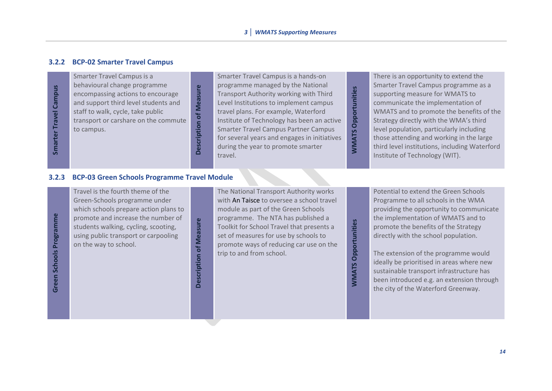#### **3.2.2 BCP-02 Smarter Travel Campus**

**Smarter Travel Campus Smarter Travel Campus** Smarter Travel Campus is a behavioural change programme encompassing actions to encourage and support third level students and staff to walk, cycle, take public transport or carshare on the commute to campus.

Smarter Travel Campus is a hands-on programme managed by the National Transport Authority working with Third Level Institutions to implement campus travel plans. For example, Waterford Institute of Technology has been an active Smarter Travel Campus Partner Campus for several years and engages in initiatives during the year to promote smarter Fransport Authority working with Third<br>Level Institutions to implement campus<br>travel plans. For example, Waterford<br>Institute of Technology has been an active<br>Smarter Travel Campus Partner Campus<br>for several years and engag

There is an opportunity to extend the Smarter Travel Campus programme as a supporting measure for WMATS to communicate the implementation of WMATS and to promote the benefits of the Strategy directly with the WMA's third level population, particularly including those attending and working in the large third level institutions, including Waterford Institute of Technology (WIT).

#### **3.2.3 BCP-03 Green Schools Programme Travel Module**

Green Schools Programme **Green Schools Programme**

Travel is the fourth theme of the Green-Schools programme under which schools prepare action plans to promote and increase the number of students walking, cycling, scooting, using public transport or carpooling on the way to school.

Description of Measure **Description of Measure**

**Description of Measure**

Description of Measure

The National Transport Authority works with An Taisce to oversee a school travel module as part of the Green Schools programme. The NTA has published a Toolkit for School Travel that presents a set of measures for use by schools to promote ways of reducing car use on the trip to and from school.

**WMATS Opportunities**

**NVMATS Opportunities** 

Potential to extend the Green Schools Programme to all schools in the WMA providing the opportunity to communicate the implementation of WMATS and to promote the benefits of the Strategy directly with the school population.

The extension of the programme would ideally be prioritised in areas where new sustainable transport infrastructure has been introduced e.g. an extension through the city of the Waterford Greenway.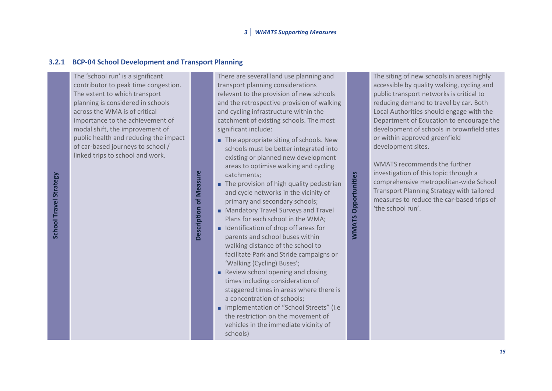#### **3.2.1 BCP-04 School Development and Transport Planning**

The 'school run' is a significant contributor to peak time congestion. The extent to which transport planning is considered in schools across the WMA is of critical importance to the achievement of modal shift, the improvement of public health and reducing the impact of car-based journeys to school / linked trips to school and work.

**School Travel Strategy School Travel Strategy** There are several land use planning and transport planning considerations relevant to the provision of new schools and the retrospective provision of walking and cycling infrastructure within the catchment of existing schools. The most significant include:

- The appropriate siting of schools. New schools must be better integrated into existing or planned new development areas to optimise walking and cycling catchments;
- The provision of high quality pedestrian and cycle networks in the vicinity of primary and secondary schools;

**WMATS Opportunities**

**MMATS Opportunities** 

**Mandatory Travel Surveys and Travel** Plans for each school in the WMA;

**Description of Measure** 

Description of Measure

- $\blacksquare$  Identification of drop off areas for parents and school buses within walking distance of the school to facilitate Park and Stride campaigns or 'Walking (Cycling) Buses';
- Review school opening and closing times including consideration of staggered times in areas where there is a concentration of schools;
- **Implementation of "School Streets" (i.e.** the restriction on the movement of vehicles in the immediate vicinity of schools)

The siting of new schools in areas highly accessible by quality walking, cycling and public transport networks is critical to reducing demand to travel by car. Both Local Authorities should engage with the Department of Education to encourage the development of schools in brownfield sites or within approved greenfield development sites.

WMATS recommends the further investigation of this topic through a comprehensive metropolitan-wide School Transport Planning Strategy with tailored measures to reduce the car-based trips of 'the school run'.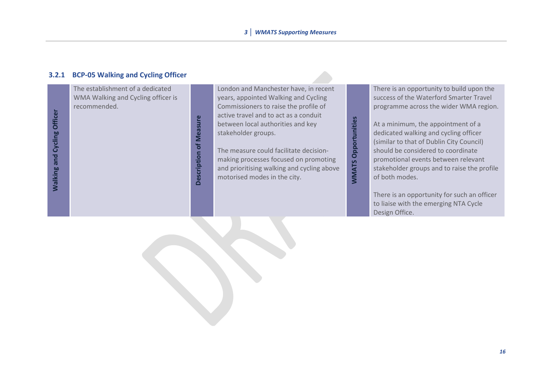#### **3.2.1 BCP-05 Walking and Cycling Officer**

The establishment of a dedicated WMA Walking and Cycling officer is recommended.

> **Description of Measure Description of Measure**

London and Manchester have, in recent years, appointed Walking and Cycling Commissioners to raise the profile of active travel and to act as a conduit between local authorities and key stakeholder groups.

The measure could facilitate decisionmaking processes focused on promoting and prioritising walking and cycling above between local authorities and key<br>stakeholder groups.<br>The measure could facilitate decision-<br>making processes focused on promoting<br>and prioritising walking and cycling above<br>motorised modes in the city.

There is an opportunity to build upon the success of the Waterford Smarter Travel programme across the wider WMA region.

At a minimum, the appointment of a dedicated walking and cycling officer (similar to that of Dublin City Council) should be considered to coordinate promotional events between relevant stakeholder groups and to raise the profile of both modes.

There is an opportunity for such an officer to liaise with the emerging NTA Cycle Design Office.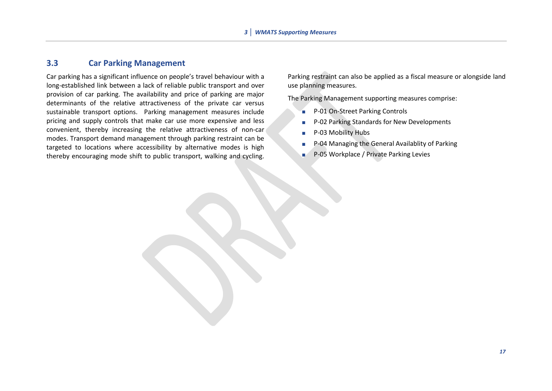#### **3.3 Car Parking Management**

Car parking has a significant influence on people's travel behaviour with a long-established link between a lack of reliable public transport and over provision of car parking. The availability and price of parking are major determinants of the relative attractiveness of the private car versus sustainable transport options. Parking management measures include pricing and supply controls that make car use more expensive and less convenient, thereby increasing the relative attractiveness of non-car modes. Transport demand management through parking restraint can be targeted to locations where accessibility by alternative modes is high thereby encouraging mode shift to public transport, walking and cycling.

Parking restraint can also be applied as a fiscal measure or alongside land use planning measures.

The Parking Management supporting measures comprise:

- P-01 On-Street Parking Controls
- **P-02 Parking Standards for New Developments**
- **P-03 Mobility Hubs**
- **P-04 Managing the General Availablity of Parking**
- P-05 Workplace / Private Parking Levies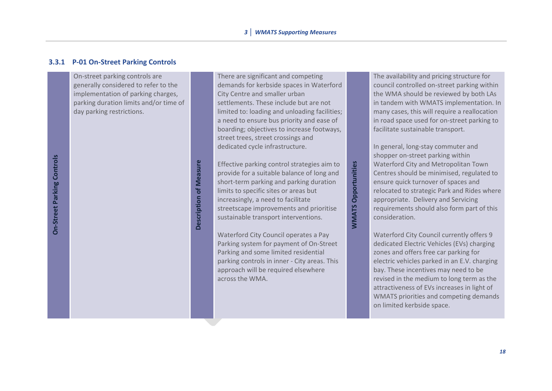#### **3.3.1 P-01 On-Street Parking Controls**

On-street parking controls are generally considered to refer to the implementation of parking charges, parking duration limits and/or time of day parking restrictions.

There are significant and competing demands for kerbside spaces in Waterford City Centre and smaller urban settlements. These include but are not limited to: loading and unloading facilities; a need to ensure bus priority and ease of boarding; objectives to increase footways, street trees, street crossings and dedicated cycle infrastructure.

Effective parking control strategies aim to provide for a suitable balance of long and short-term parking and parking duration limits to specific sites or areas but increasingly, a need to facilitate streetscape improvements and prioritise sustainable transport interventions.

**WMATS Opportunities**

**MMATS Opportunities** 

**Description of Measure**

Description of Measure

Waterford City Council operates a Pay Parking system for payment of On-Street Parking and some limited residential parking controls in inner - City areas. This approach will be required elsewhere across the WMA.

The availability and pricing structure for council controlled on-street parking within the WMA should be reviewed by both LAs in tandem with WMATS implementation. In many cases, this will require a reallocation in road space used for on-street parking to facilitate sustainable transport.

In general, long-stay commuter and shopper on-street parking within Waterford City and Metropolitan Town Centres should be minimised, regulated to ensure quick turnover of spaces and relocated to strategic Park and Rides where appropriate. Delivery and Servicing requirements should also form part of this consideration.

Waterford City Council currently offers 9 dedicated Electric Vehicles (EVs) charging zones and offers free car parking for electric vehicles parked in an E.V. charging bay. These incentives may need to be revised in the medium to long term as the attractiveness of EVs increases in light of WMATS priorities and competing demands on limited kerbside space.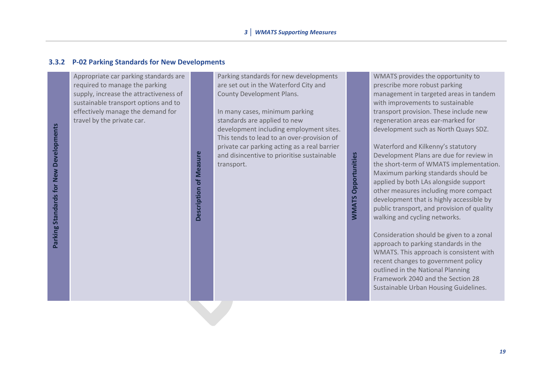#### **3.3.2 P-02 Parking Standards for New Developments**

Appropriate car parking standards are required to manage the parking supply, increase the attractiveness of sustainable transport options and to effectively manage the demand for travel by the private car.

**Description of Measure**

Description of Measure

Parking standards for new developments are set out in the Waterford City and County Development Plans.

In many cases, minimum parking standards are applied to new development including employment sites. This tends to lead to an over-provision of private car parking acting as a real barrier and disincentive to prioritise sustainable transport.

WMATS provides the opportunity to prescribe more robust parking management in targeted areas in tandem with improvements to sustainable transport provision. These include new regeneration areas ear-marked for development such as North Quays SDZ.

Waterford and Kilkenny's statutory Development Plans are due for review in the short-term of WMATS implementation. Maximum parking standards should be applied by both LAs alongside support other measures including more compact development that is highly accessible by public transport, and provision of quality walking and cycling networks.

**WMATS Opportunities**

**NMATS Opportunities** 

Consideration should be given to a zonal approach to parking standards in the WMATS. This approach is consistent with recent changes to government policy outlined in the National Planning Framework 2040 and the Section 28 Sustainable Urban Housing Guidelines.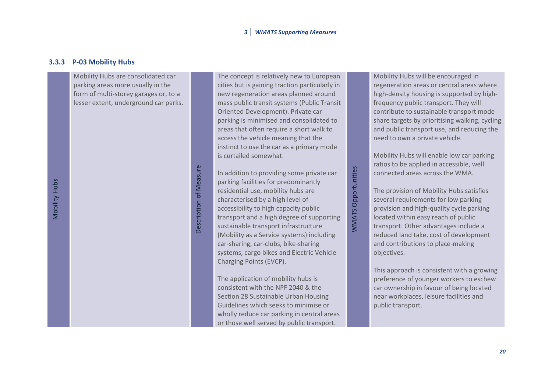#### **3.3.3 P-03 Mobility Hubs**

Mobility Hubs are consolidated car parking areas more usually in the form of multi-storey garages or, to a lesser extent, underground car parks.

Description of Measure

Description of Measure

The concept is relatively new to European cities but is gaining traction particularly in new regeneration areas planned around mass public transit systems (Public Transit Oriented Development). Private car parking is minimised and consolidated to areas that often require a short walk to access the vehicle meaning that the instinct to use the car as a primary mode is curtailed somewhat.

In addition to providing some private car parking facilities for predominantly residential use, mobility hubs are characterised by a high level of accessibility to high capacity public transport and a high degree of supporting sustainable transport infrastructure (Mobility as a Service systems) including car-sharing, car-clubs, bike-sharing systems, cargo bikes and Electric Vehicle Charging Points (EVCP).

WMATS Opportunities

**WMATS Opportunities** 

The application of mobility hubs is consistent with the NPF 2040 & the Section 28 Sustainable Urban Housing Guidelines which seeks to minimise or wholly reduce car parking in central areas or those well served by public transport.

Mobility Hubs will be encouraged in regeneration areas or central areas where high-density housing is supported by highfrequency public transport. They will contribute to sustainable transport mode share targets by prioritising walking, cycling and public transport use, and reducing the need to own a private vehicle.

Mobility Hubs will enable low car parking ratios to be applied in accessible, well connected areas across the WMA.

The provision of Mobility Hubs satisfies several requirements for low parking provision and high-quality cycle parking located within easy reach of public transport. Other advantages include a reduced land take, cost of development and contributions to place-making objectives.

This approach is consistent with a growing preference of younger workers to eschew car ownership in favour of being located near workplaces, leisure facilities and public transport.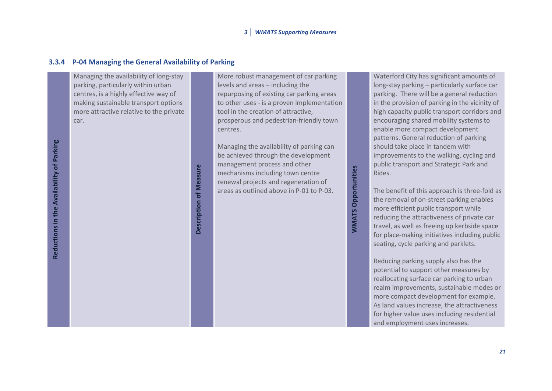#### **3.3.4 P-04 Managing the General Availability of Parking**

Managing the availability of long-stay parking, particularly within urban centres, is a highly effective way of making sustainable transport options more attractive relative to the private car.

**Reductions in the Availability of Parking**

Reductions in the Availability of Parking

**Description of Measure** 

**Description of Measure**

More robust management of car parking levels and areas – including the repurposing of existing car parking areas to other uses - is a proven implementation tool in the creation of attractive, prosperous and pedestrian-friendly town centres.

Managing the availability of parking can be achieved through the development management process and other mechanisms including town centre renewal projects and regeneration of areas as outlined above in P-01 to P-03.

**WMATS Opportunities**

**WMATS Opportunities** 

Waterford City has significant amounts of long-stay parking – particularly surface car parking. There will be a general reduction in the provision of parking in the vicinity of high capacity public transport corridors and encouraging shared mobility systems to enable more compact development patterns. General reduction of parking should take place in tandem with improvements to the walking, cycling and public transport and Strategic Park and Rides.

The benefit of this approach is three-fold as the removal of on-street parking enables more efficient public transport while reducing the attractiveness of private car travel, as well as freeing up kerbside space for place-making initiatives including public seating, cycle parking and parklets.

Reducing parking supply also has the potential to support other measures by reallocating surface car parking to urban realm improvements, sustainable modes or more compact development for example. As land values increase, the attractiveness for higher value uses including residential and employment uses increases.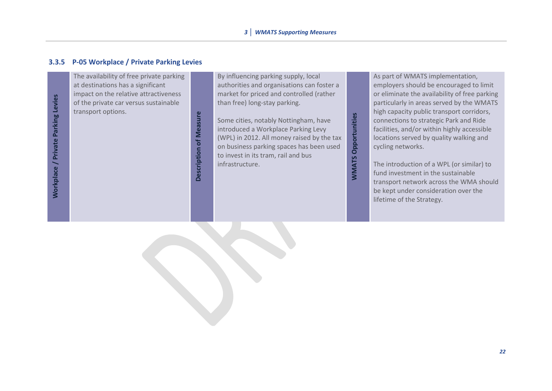#### **3.3.5 P-05 Workplace / Private Parking Levies**

**Workplace / Private Parking Levies Workplace / Private Parking Levies** The availability of free private parking at destinations has a significant impact on the relative attractiveness of the private car versus sustainable transport options.

**Description of Measure Description of Measure** By influencing parking supply, local authorities and organisations can foster a market for priced and controlled (rather than free) long-stay parking.

Some cities, notably Nottingham, have introduced a Workplace Parking Levy (WPL) in 2012. All money raised by the tax on business parking spaces has been used to invest in its tram, rail and bus infrastructure.

**WMATS Opportunities**

**WMATS Opportunities** 

As part of WMATS implementation, employers should be encouraged to limit or eliminate the availability of free parking particularly in areas served by the WMATS high capacity public transport corridors, connections to strategic Park and Ride facilities, and/or within highly accessible locations served by quality walking and cycling networks.

The introduction of a WPL (or similar) to fund investment in the sustainable transport network across the WMA should be kept under consideration over the lifetime of the Strategy.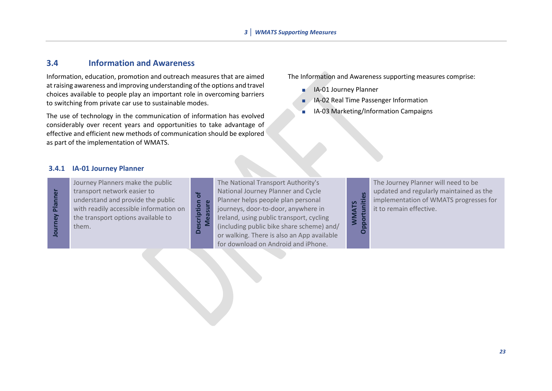#### **3.4 Information and Awareness**

Information, education, promotion and outreach measures that are aimed at raising awareness and improving understanding of the options and travel choices available to people play an important role in overcoming barriers to switching from private car use to sustainable modes.

The use of technology in the communication of information has evolved considerably over recent years and opportunities to take advantage of effective and efficient new methods of communication should be explored as part of the implementation of WMATS.

> **Description of Measure**

Description of

The Information and Awareness supporting measures comprise:

- **IA-01 Journey Planner**
- **I**A-02 Real Time Passenger Information
- IA-03 Marketing/Information Campaigns

#### **3.4.1 IA-01 Journey Planner**

Journey Planner **Journey Planner** Journey Planners make the public transport network easier to understand and provide the public with readily accessible information on the transport options available to them.

The National Transport Authority's National Journey Planner and Cycle Planner helps people plan personal journeys, door-to-door, anywhere in Ireland, using public transport, cycling (including public bike share scheme) and/ or walking. There is also an App available for download on Android and iPhone.

# Opportunities **Opportunities WMATS**

The Journey Planner will need to be updated and regularly maintained as the implementation of WMATS progresses for it to remain effective.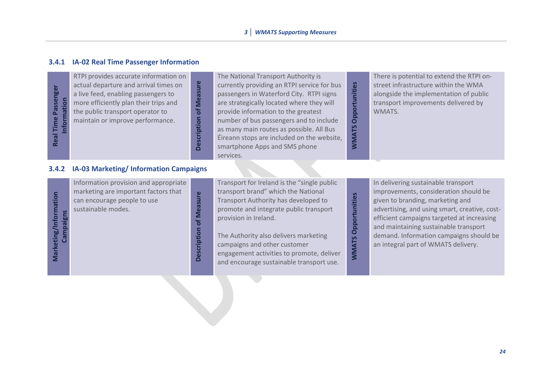#### **3.4.1 IA-02 Real Time Passenger Information**

| <b>Iser</b><br>Passer<br>ී<br>œ | RTPI provides accurate information on<br>actual departure and arrival times on<br>a live feed, enabling passengers to<br>more efficiently plan their trips and<br>the public transport operator to<br>maintain or improve performance. | Φ<br>eas<br>Σ<br>្ង<br>등<br>യ<br>$\Box$ | The National Transport Authority is<br>currently providing an RTPI service for bus<br>passengers in Waterford City. RTPI signs<br>are strategically located where they will<br>provide information to the greatest<br>number of bus passengers and to include<br>as many main routes as possible. All Bus<br>Éireann stops are included on the website,<br>smartphone Apps and SMS phone<br>services. | nities<br>$\mathbf{\Omega}$<br>۲S<br>囩 | There is potential to extend the RTPI on-<br>street infrastructure within the WMA<br>alongside the implementation of public<br>transport improvements delivered by<br>WMATS. |
|---------------------------------|----------------------------------------------------------------------------------------------------------------------------------------------------------------------------------------------------------------------------------------|-----------------------------------------|-------------------------------------------------------------------------------------------------------------------------------------------------------------------------------------------------------------------------------------------------------------------------------------------------------------------------------------------------------------------------------------------------------|----------------------------------------|------------------------------------------------------------------------------------------------------------------------------------------------------------------------------|
|---------------------------------|----------------------------------------------------------------------------------------------------------------------------------------------------------------------------------------------------------------------------------------|-----------------------------------------|-------------------------------------------------------------------------------------------------------------------------------------------------------------------------------------------------------------------------------------------------------------------------------------------------------------------------------------------------------------------------------------------------------|----------------------------------------|------------------------------------------------------------------------------------------------------------------------------------------------------------------------------|

#### **3.4.2 IA-03 Marketing/ Information Campaigns**

| Information provision and appropriate<br>marketing are important factors that<br>can encourage people to use<br>sustainable modes. | $\omega$<br>0<br>$\circ$<br>ω | Transport for Ireland is the "single public"<br>transport brand" which the National<br>Transport Authority has developed to<br>promote and integrate public transport<br>provision in Ireland.<br>The Authority also delivers marketing<br>campaigns and other customer<br>engagement activities to promote, deliver<br>and encourage sustainable transport use. | 5<br>itie:<br>s<br><u>ទ</u><br>O<br><b>5</b><br><b>M</b> | In delivering sustainable transport<br>improvements, consideration should be<br>given to branding, marketing and<br>advertising, and using smart, creative, cost-<br>efficient campaigns targeted at increasing<br>and maintaining sustainable transport<br>demand. Information campaigns should be<br>an integral part of WMATS delivery. |
|------------------------------------------------------------------------------------------------------------------------------------|-------------------------------|------------------------------------------------------------------------------------------------------------------------------------------------------------------------------------------------------------------------------------------------------------------------------------------------------------------------------------------------------------------|----------------------------------------------------------|--------------------------------------------------------------------------------------------------------------------------------------------------------------------------------------------------------------------------------------------------------------------------------------------------------------------------------------------|
|------------------------------------------------------------------------------------------------------------------------------------|-------------------------------|------------------------------------------------------------------------------------------------------------------------------------------------------------------------------------------------------------------------------------------------------------------------------------------------------------------------------------------------------------------|----------------------------------------------------------|--------------------------------------------------------------------------------------------------------------------------------------------------------------------------------------------------------------------------------------------------------------------------------------------------------------------------------------------|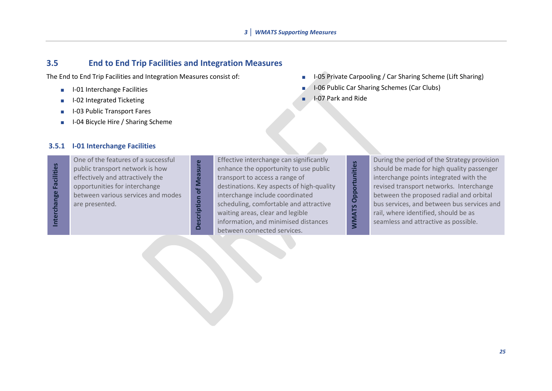#### **3.5 End to End Trip Facilities and Integration Measures**

**Description of Measure**

Description of Measure

The End to End Trip Facilities and Integration Measures consist of:

- **I-01** Interchange Facilities
- I-02 Integrated Ticketing
- I-03 Public Transport Fares
- **I-04 Bicycle Hire / Sharing Scheme**
- **I-05 Private Carpooling / Car Sharing Scheme (Lift Sharing)**
- I-06 Public Car Sharing Schemes (Car Clubs)
- **I-07 Park and Ride**

#### **3.5.1 I-01 Interchange Facilities**

Interchange Facilities **Interchange Facilities** One of the features of a successful public transport network is how effectively and attractively the opportunities for interchange between various services and modes are presented.

Effective interchange can significantly enhance the opportunity to use public transport to access a range of destinations. Key aspects of high-quality interchange include coordinated scheduling, comfortable and attractive waiting areas, clear and legible information, and minimised distances Enceme incremarge can significant,<br>
enhance the opportunity to use public<br>
transport to access a range of<br>
destinations. Key aspects of high-quality<br>
interchange include coordinated<br>
scheduling, comfortable and attractive<br>

During the period of the Strategy provision should be made for high quality passenger interchange points integrated with the revised transport networks. Interchange between the proposed radial and orbital bus services, and between bus services and rail, where identified, should be as seamless and attractive as possible.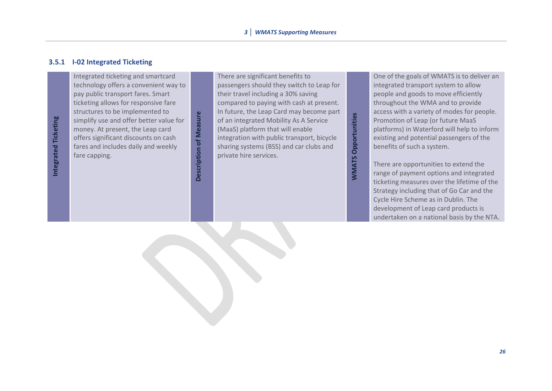#### **3.5.1 I-02 Integrated Ticketing**

Integrated Ticketing **Integrated Ticketing** Integrated ticketing and smartcard technology offers a convenient way to pay public transport fares. Smart ticketing allows for responsive fare structures to be implemented to simplify use and offer better value for money. At present, the Leap card offers significant discounts on cash fares and includes daily and weekly fare capping.

**Description of Measure Description of Measure**

There are significant benefits to passengers should they switch to Leap for their travel including a 30% saving compared to paying with cash at present. In future, the Leap Card may become part of an integrated Mobility As A Service (MaaS) platform that will enable integration with public transport, bicycle sharing systems (BSS) and car clubs and private hire services.

**WMATS Opportunities**

**WMATS Opportunities** 

One of the goals of WMATS is to deliver an integrated transport system to allow people and goods to move efficiently throughout the WMA and to provide access with a variety of modes for people. Promotion of Leap (or future MaaS platforms) in Waterford will help to inform existing and potential passengers of the benefits of such a system.

There are opportunities to extend the range of payment options and integrated ticketing measures over the lifetime of the Strategy including that of Go Car and the Cycle Hire Scheme as in Dublin. The development of Leap card products is undertaken on a national basis by the NTA.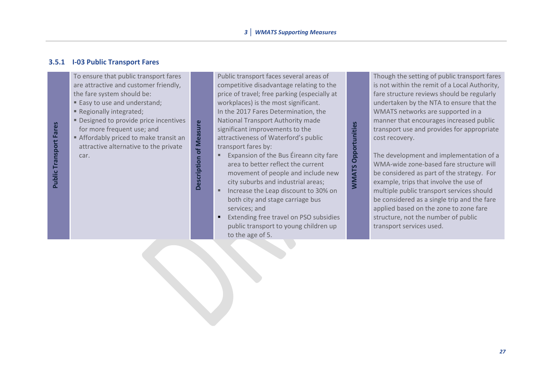#### **3.5.1 I-03 Public Transport Fares**

To ensure that public transport fares are attractive and customer friendly, the fare system should be:

- Easy to use and understand:
- Regionally integrated;
- **Designed to provide price incentives** for more frequent use; and
- Affordably priced to make transit an attractive alternative to the private car.

Description of Measure **Description of Measure** Public transport faces several areas of competitive disadvantage relating to the price of travel; free parking (especially at workplaces) is the most significant. In the 2017 Fares Determination, the National Transport Authority made significant improvements to the attractiveness of Waterford's public transport fares by:

■ Expansion of the Bus Éireann city fare area to better reflect the current movement of people and include new city suburbs and industrial areas;

**WMATS Opportunities**

**WMATS Opportunities** 

- Increase the Leap discount to 30% on both city and stage carriage bus services; and
- Extending free travel on PSO subsidies public transport to young children up to the age of 5.

Though the setting of public transport fares is not within the remit of a Local Authority, fare structure reviews should be regularly undertaken by the NTA to ensure that the WMATS networks are supported in a manner that encourages increased public transport use and provides for appropriate cost recovery.

The development and implementation of a WMA-wide zone-based fare structure will be considered as part of the strategy. For example, trips that involve the use of multiple public transport services should be considered as a single trip and the fare applied based on the zone to zone fare structure, not the number of public transport services used.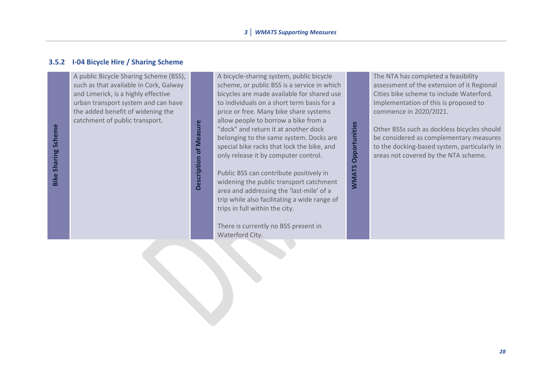#### **3.5.2 I-04 Bicycle Hire / Sharing Scheme**

A public Bicycle Sharing Scheme (BSS), such as that available in Cork, Galway and Limerick, is a highly effective urban transport system and can have the added benefit of widening the catchment of public transport.

Description of Measure **Description of Measure** A bicycle-sharing system, public bicycle scheme, or public BSS is a service in which [bicycles](https://en.wikipedia.org/wiki/Bicycles) are made available for shared use to individuals on a short term basis for a price or free. Many bike share systems allow people to borrow a bike from a "dock" and return it at another dock belonging to the same system. Docks are specia[l bike racks](https://en.wikipedia.org/wiki/Bicycle_parking_rack) that lock the bike, and only release it by computer control.

**WMATS Opportunities**

**WMATS Opportunities** 

Public BSS can contribute positively in widening the public transport catchment area and addressing the 'last-mile' of a trip while also facilitating a wide range of trips in full within the city.

There is currently no BSS present in Waterford City.

The NTA has completed a feasibility assessment of the extension of it Regional Cities bike scheme to include Waterford. Implementation of this is proposed to commence in 2020/2021.

Other BSSs such as dockless bicycles should be considered as complementary measures to the docking-based system, particularly in areas not covered by the NTA scheme.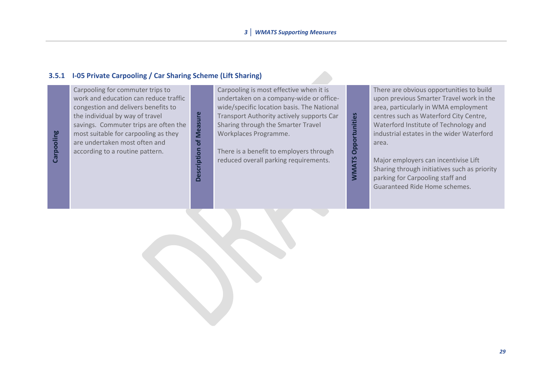# **3.5.1 I-05 Private Carpooling / Car Sharing Scheme (Lift Sharing)**

| rpooling<br>ලි | Carpooling for commuter trips to<br>work and education can reduce traffic<br>congestion and delivers benefits to<br>the individual by way of travel<br>savings. Commuter trips are often the<br>most suitable for carpooling as they<br>are undertaken most often and<br>according to a routine pattern. | <b>Meas</b><br>ㅎ<br>ō<br>ω | Carpooling is most effective when it is<br>undertaken on a company-wide or office-<br>wide/specific location basis. The National<br>Transport Authority actively supports Car<br>Sharing through the Smarter Travel<br>Workplaces Programme.<br>There is a benefit to employers through<br>reduced overall parking requirements. | Səi<br>ဝီ<br>۲S | There are obvious opportunities to build<br>upon previous Smarter Travel work in the<br>area, particularly in WMA employment<br>centres such as Waterford City Centre,<br>Waterford Institute of Technology and<br>industrial estates in the wider Waterford<br>area.<br>Major employers can incentivise Lift<br>Sharing through initiatives such as priority<br>parking for Carpooling staff and<br>Guaranteed Ride Home schemes. |
|----------------|----------------------------------------------------------------------------------------------------------------------------------------------------------------------------------------------------------------------------------------------------------------------------------------------------------|----------------------------|----------------------------------------------------------------------------------------------------------------------------------------------------------------------------------------------------------------------------------------------------------------------------------------------------------------------------------|-----------------|------------------------------------------------------------------------------------------------------------------------------------------------------------------------------------------------------------------------------------------------------------------------------------------------------------------------------------------------------------------------------------------------------------------------------------|
|                |                                                                                                                                                                                                                                                                                                          |                            |                                                                                                                                                                                                                                                                                                                                  |                 |                                                                                                                                                                                                                                                                                                                                                                                                                                    |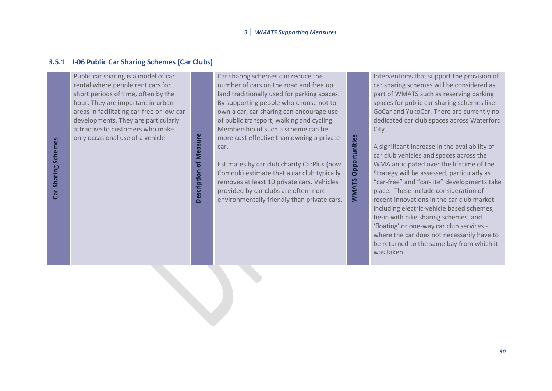#### **3.5.1 I-06 Public Car Sharing Schemes (Car Clubs)**

Public car sharing is a model of car rental where people rent cars for short periods of time, often by the hour. They are important in urban areas in facilitating car-free or low-car developments. They are particularly attractive to customers who make only occasional use of a vehicle.

**Description of Measure Description of Measure** Car sharing schemes can reduce the number of cars on the road and free up land traditionally used for parking spaces. By supporting people who choose not to own a car, car sharing can encourage use of public transport, walking and cycling. Membership of such a scheme can be more cost effective than owning a private car.

Estimates by car club charity CarPlus (now Comouk) estimate that a car club typically removes at least 10 private cars. Vehicles provided by car clubs are often more more cost effective than owning a private<br>car.<br>Estimates by car club charity CarPlus (now<br>Comouk) estimate that a car club typically<br>removes at least 10 private cars. Vehicles<br>provided by car clubs are often more<br>environme Interventions that support the provision of car sharing schemes will be considered as part of WMATS such as reserving parking spaces for public car sharing schemes like GoCar and YukoCar. There are currently no dedicated car club spaces across Waterford City.

A significant increase in the availability of car club vehicles and spaces across the WMA anticipated over the lifetime of the Strategy will be assessed, particularly as "car-free" and "car-lite" developments take place. These include consideration of recent innovations in the car club market including electric-vehicle based schemes, tie-in with bike sharing schemes, and 'floating' or one-way car club services where the car does not necessarily have to be returned to the same bay from which it was taken.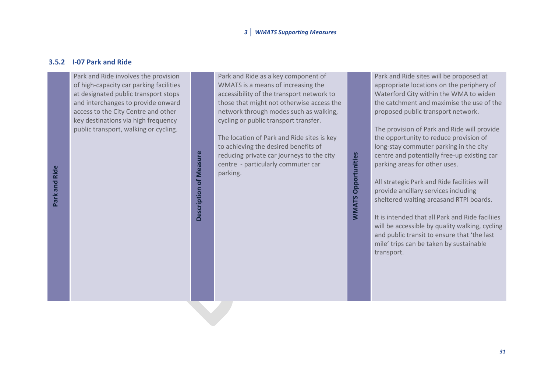#### **3.5.2 I-07 Park and Ride**

Park and Ride involves the provision of high-capacity car parking facilities at designated public transport stops and interchanges to provide onward access to the City Centre and other key destinations via high frequency public transport, walking or cycling.

Description of Measure

**Description of Measure** 

Park and Ride as a key component of WMATS is a means of increasing the accessibility of the transport network to those that might not otherwise access the network through modes such as walking, cycling or public transport transfer.

The location of Park and Ride sites is key to achieving the desired benefits of reducing private car journeys to the city centre - particularly commuter car parking.

Park and Ride sites will be proposed at appropriate locations on the periphery of Waterford City within the WMA to widen the catchment and maximise the use of the proposed public transport network.

The provision of Park and Ride will provide the opportunity to reduce provision of long-stay commuter parking in the city centre and potentially free-up existing car parking areas for other uses.

All strategic Park and Ride facilities will provide ancillary services including sheltered waiting areasand RTPI boards.

**WMATS Opportunities**

**WMATS Opportunities** 

It is intended that all Park and Ride faciliies will be accessible by quality walking, cycling and public transit to ensure that 'the last mile' trips can be taken by sustainable transport.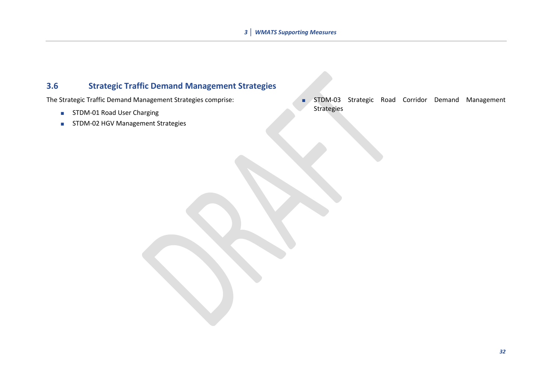## **3.6 Strategic Traffic Demand Management Strategies**

The Strategic Traffic Demand Management Strategies comprise:

- STDM-01 Road User Charging
- **STDM-02 HGV Management Strategies**

STDM-03 Strategic Road Corridor Demand Management Strategies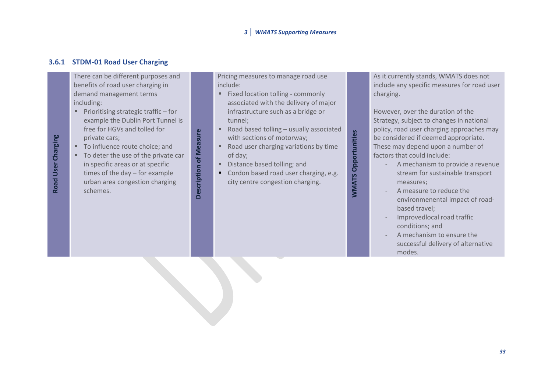#### **3.6.1 STDM-01 Road User Charging**

There can be different purposes and benefits of road user charging in demand management terms including:

- Prioritising strategic traffic for example the Dublin Port Tunnel is free for HGVs and tolled for private cars;
- To influence route choice; and

**Road User Charging**

Road User Charging

■ To deter the use of the private car in specific areas or at specific times of the day – for example urban area congestion charging schemes.

Pricing measures to manage road use include:

- Fixed location tolling commonly associated with the delivery of major infrastructure such as a bridge or tunnel;
- Road based tolling usually associated with sections of motorway;
- Road user charging variations by time of day;
- Distance based tolling; and

**Description of Measure** 

Description of Measure

Cordon based road user charging, e.g. city centre congestion charging.

**WMATS Opportunities**

**WMATS Opportunities** 

As it currently stands, WMATS does not include any specific measures for road user charging.

However, over the duration of the Strategy, subject to changes in national policy, road user charging approaches may be considered if deemed appropriate. These may depend upon a number of factors that could include:

- A mechanism to provide a revenue stream for sustainable transport measures;
- A measure to reduce the environmenental impact of roadbased travel;
- Improvedlocal road traffic conditions; and
- A mechanism to ensure the successful delivery of alternative modes.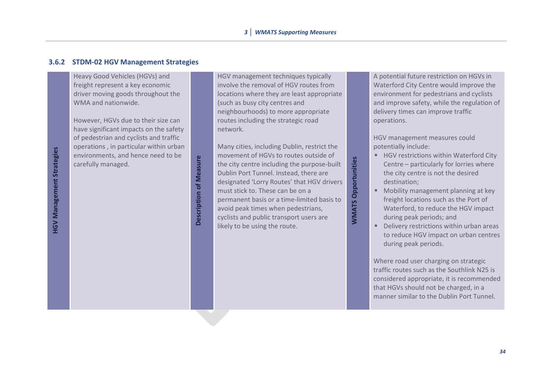#### **3.6.2 STDM-02 HGV Management Strategies**

Heavy Good Vehicles (HGVs) and freight represent a key economic driver moving goods throughout the WMA and nationwide.

However, HGVs due to their size can have significant impacts on the safety of pedestrian and cyclists and traffic operations , in particular within urban environments, and hence need to be carefully managed.

**Description of Measure Description of Measure**  HGV management techniques typically involve the removal of HGV routes from locations where they are least appropriate (such as busy city centres and neighbourhoods) to more appropriate routes including the strategic road network.

Many cities, including Dublin, restrict the movement of HGVs to routes outside of the city centre including the purpose-built Dublin Port Tunnel. Instead, there are designated 'Lorry Routes' that HGV drivers must stick to. These can be on a permanent basis or a time-limited basis to avoid peak times when pedestrians, cyclists and public transport users are likely to be using the route.

**WMATS Opportunities**

**WMATS Opportunities** 

A potential future restriction on HGVs in Waterford City Centre would improve the environment for pedestrians and cyclists and improve safety, while the regulation of delivery times can improve traffic operations.

HGV management measures could potentially include:

- HGV restrictions within Waterford City Centre – particularly for lorries where the city centre is not the desired destination;
- Mobility management planning at key freight locations such as the Port of Waterford, to reduce the HGV impact during peak periods; and
- Delivery restrictions within urban areas to reduce HGV impact on urban centres during peak periods.

Where road user charging on strategic traffic routes such as the Southlink N25 is considered appropriate, it is recommended that HGVs should not be charged, in a manner similar to the Dublin Port Tunnel.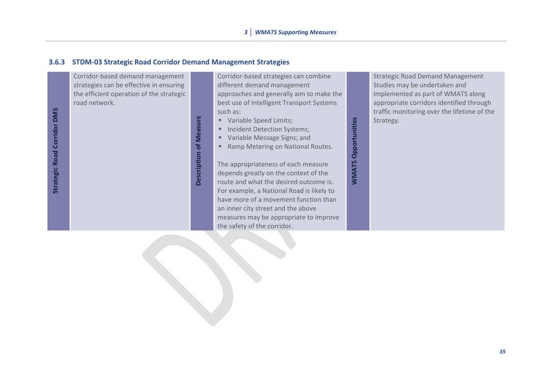#### **3.6.3 STDM-03 Strategic Road Corridor Demand Management Strategies**

Corridor-based demand management strategies can be effective in ensuring the efficient operation of the strategic road network.

**Strategic Road Corridor DMS gic Road Corridor DMS**

**Description of Measure Description of Measure** Corridor-based strategies can combine different demand management approaches and generally aim to make the best use of Intelligent Transport Systems such as:

- Variable Speed Limits;
- **■** Incident Detection Systems;
- Variable Message Signs; and
- Ramp Metering on National Routes.

The appropriateness of each measure depends greatly on the context of the route and what the desired outcome is. For example, a National Road is likely to have more of a movement function than an inner city street and the above measures may be appropriate to improve the safety of the corridor.

Strategic Road Demand Management Studies may be undertaken and implemented as part of WMATS along appropriate corridors identified through traffic monitoring over the lifetime of the Strategy.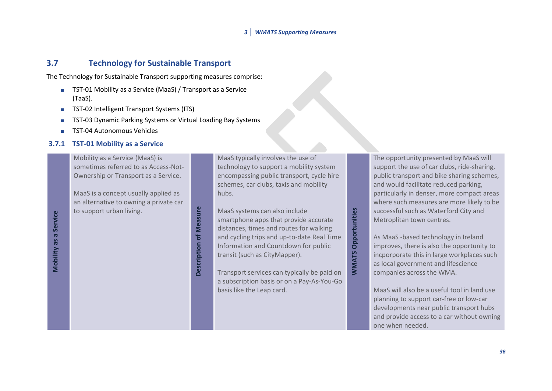#### **3.7 Technology for Sustainable Transport**

The Technology for Sustainable Transport supporting measures comprise:

- TST-01 Mobility as a Service (MaaS) / Transport as a Service (TaaS).
- **TST-02 Intelligent Transport Systems (ITS)**
- TST-03 Dynamic Parking Systems or Virtual Loading Bay Systems
- TST-04 Autonomous Vehicles

#### **3.7.1 TST-01 Mobility as a Service**

Mobility as a Service (MaaS) is sometimes referred to as Access-Not-Ownership or Transport as a Service.

MaaS is a concept usually applied as an alternative to owning a private car to support urban living.

**Description of Measure Description of Measure**  MaaS typically involves the use of technology to support a mobility system encompassing public transport, cycle hire schemes, car clubs, taxis and mobility hubs.

MaaS systems can also include smartphone apps that provide accurate distances, times and routes for walking and cycling trips and up-to-date Real Time Information and Countdown for public transit (such as CityMapper).

**WMATS Opportunities**

**WMATS Opportunities** 

Transport services can typically be paid on a subscription basis or on a Pay-As-You-Go basis like the Leap card.

The opportunity presented by MaaS will support the use of car clubs, ride-sharing, public transport and bike sharing schemes, and would facilitate reduced parking, particularly in denser, more compact areas where such measures are more likely to be successful such as Waterford City and Metroplitan town centres.

As MaaS -based technology in Ireland improves, there is also the opportunity to incporporate this in large workplaces such as local government and lifescience companies across the WMA.

MaaS will also be a useful tool in land use planning to support car-free or low-car developments near public transport hubs and provide access to a car without owning one when needed.

**Mobility as a Service Mobility as a Service**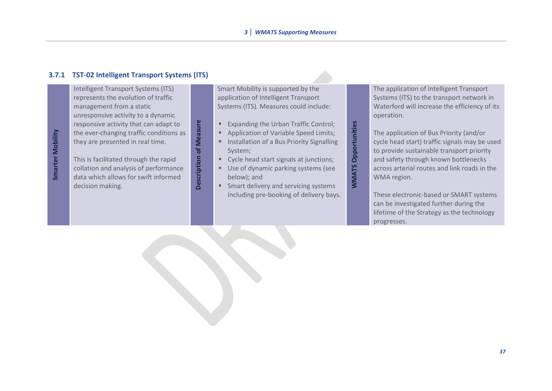#### **3.7.1 TST-02 Intelligent Transport Systems (ITS)**

Intelligent Transport Systems (ITS) represents the evolution of traffic management from a static unresponsive activity to a dynamic responsive activity that can adapt to the ever-changing traffic conditions as they are presented in real time.

This is facilitated through the rapid collation and analysis of performance data which allows for swift informed decision making.

**Description of Measure**

Description of Measure

Smart Mobility is supported by the application of Intelligent Transport Systems (ITS). Measures could include:

- Expanding the Urban Traffic Control;
- Application of Variable Speed Limits;
- Installation of a Bus Priority Signalling System;

**WMATS Opportunities**

**WMATS Opportunities** 

- Cycle head start signals at junctions;
- Use of dynamic parking systems (see below); and
- Smart delivery and servicing systems including pre-booking of delivery bays.

The application of Intelligent Transport Systems (ITS) to the transport network in Waterford will increase the efficiency of its operation.

The application of Bus Priority (and/or cycle head start) traffic signals may be used to provide sustainable transport priority and safety through known bottlenecks across arterial routes and link roads in the WMA region.

These electronic-based or SMART systems can be investigated further during the lifetime of the Strategy as the technology progresses.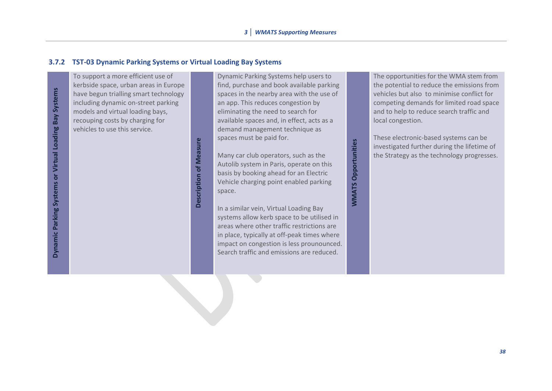#### **3.7.2 TST-03 Dynamic Parking Systems or Virtual Loading Bay Systems**

Dynamic Parking Systems or Virtual Loading Bay Systems **Dynamic Parking Systems or Virtual Loading Bay Systems**

To support a more efficient use of kerbside space, urban areas in Europe have begun trialling smart technology including dynamic on-street parking models and virtual loading bays, recouping costs by charging for vehicles to use this service.

> **Description of Measure Description of Measure**

Dynamic Parking Systems help users to find, purchase and book available parking spaces in the nearby area with the use of an app. This reduces congestion by eliminating the need to search for available spaces and, in effect, acts as a demand management technique as spaces must be paid for.

Many car club operators, such as the Autolib system in Paris, operate on this basis by booking ahead for an Electric Vehicle charging point enabled parking space.

**WMATS Opportunities**

**WMATS Opportunities** 

In a similar vein, Virtual Loading Bay systems allow kerb space to be utilised in areas where other traffic restrictions are in place, typically at off-peak times where impact on congestion is less prounounced. Search traffic and emissions are reduced.

The opportunities for the WMA stem from the potential to reduce the emissions from vehicles but also to minimise conflict for competing demands for limited road space and to help to reduce search traffic and local congestion.

These electronic-based systems can be investigated further during the lifetime of the Strategy as the technology progresses.